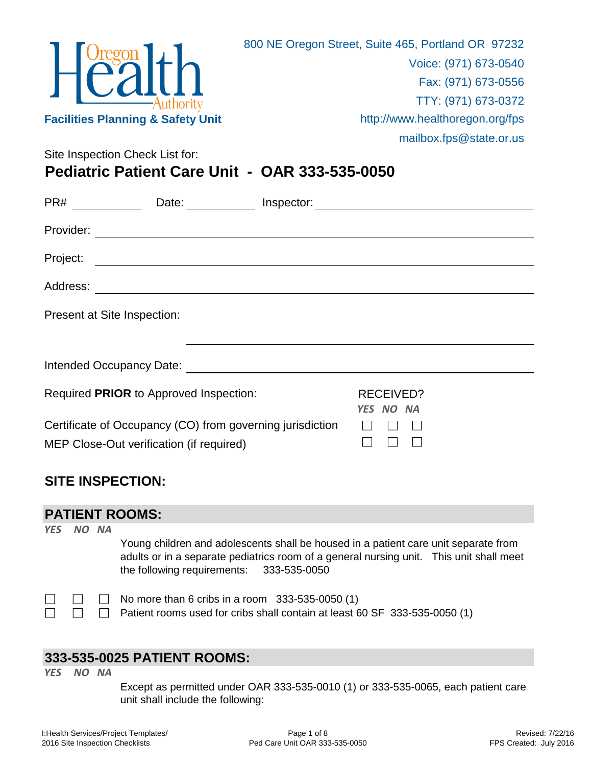

Site Inspection Check List for: **Pediatric Patient Care Unit - OAR 333-535-0050**

| PR#       | Date:                                                                                                 |                               |  |
|-----------|-------------------------------------------------------------------------------------------------------|-------------------------------|--|
| Provider: | <u> 1980 - John Stein, Amerikaansk politiker (* 1900)</u>                                             |                               |  |
| Project:  | <u> 1989 - Johann Stein, mars an de Francisco Communication (f. 1989)</u>                             |                               |  |
| Address:  |                                                                                                       |                               |  |
|           | Present at Site Inspection:                                                                           |                               |  |
|           |                                                                                                       |                               |  |
|           | Required PRIOR to Approved Inspection:                                                                | <b>RECEIVED?</b><br>YES NO NA |  |
|           | Certificate of Occupancy (CO) from governing jurisdiction<br>MEP Close-Out verification (if required) |                               |  |

## **SITE INSPECTION:**

#### **PATIENT ROOMS:**

*YES NO NA*

Young children and adolescents shall be housed in a patient care unit separate from adults or in a separate pediatrics room of a general nursing unit. This unit shall meet the following requirements: 333-535-0050

|  | $\Box$ $\Box$ No more than 6 cribs in a room 333-535-0050 (1)                            |
|--|------------------------------------------------------------------------------------------|
|  | $\Box$ $\Box$ Patient rooms used for cribs shall contain at least 60 SF 333-535-0050 (1) |

## **333-535-0025 PATIENT ROOMS:**

*YES NO NA*

Except as permitted under OAR 333-535-0010 (1) or 333-535-0065, each patient care unit shall include the following: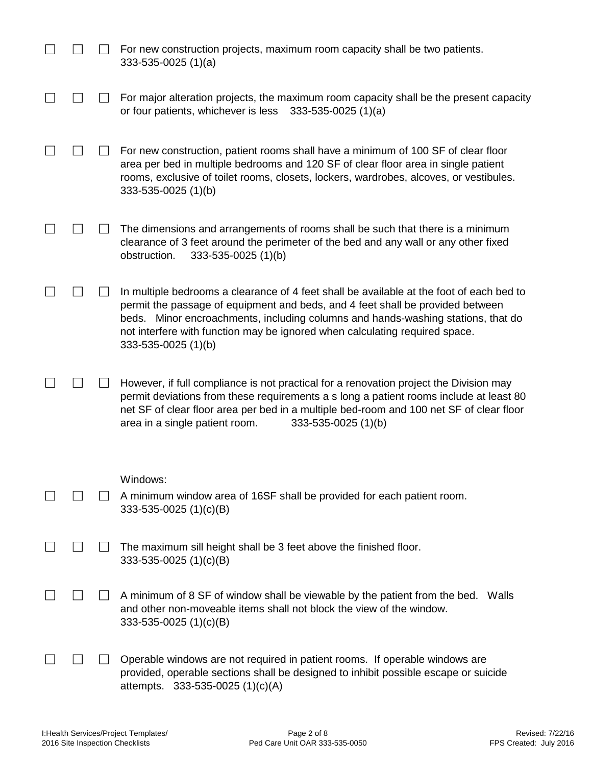|  | For new construction projects, maximum room capacity shall be two patients.<br>$333-535-0025(1)(a)$                                                                                                                                                                                                                                                                  |
|--|----------------------------------------------------------------------------------------------------------------------------------------------------------------------------------------------------------------------------------------------------------------------------------------------------------------------------------------------------------------------|
|  | For major alteration projects, the maximum room capacity shall be the present capacity<br>or four patients, whichever is less<br>$333-535-0025(1)(a)$                                                                                                                                                                                                                |
|  | For new construction, patient rooms shall have a minimum of 100 SF of clear floor<br>area per bed in multiple bedrooms and 120 SF of clear floor area in single patient<br>rooms, exclusive of toilet rooms, closets, lockers, wardrobes, alcoves, or vestibules.<br>333-535-0025 (1)(b)                                                                             |
|  | The dimensions and arrangements of rooms shall be such that there is a minimum<br>clearance of 3 feet around the perimeter of the bed and any wall or any other fixed<br>obstruction.<br>333-535-0025 (1)(b)                                                                                                                                                         |
|  | In multiple bedrooms a clearance of 4 feet shall be available at the foot of each bed to<br>permit the passage of equipment and beds, and 4 feet shall be provided between<br>beds. Minor encroachments, including columns and hands-washing stations, that do<br>not interfere with function may be ignored when calculating required space.<br>333-535-0025 (1)(b) |
|  | However, if full compliance is not practical for a renovation project the Division may<br>permit deviations from these requirements a s long a patient rooms include at least 80<br>net SF of clear floor area per bed in a multiple bed-room and 100 net SF of clear floor<br>area in a single patient room.<br>333-535-0025 (1)(b)                                 |
|  | Windows:                                                                                                                                                                                                                                                                                                                                                             |
|  | A minimum window area of 16SF shall be provided for each patient room.<br>333-535-0025 (1)(c)(B)                                                                                                                                                                                                                                                                     |
|  | The maximum sill height shall be 3 feet above the finished floor.<br>333-535-0025 (1)(c)(B)                                                                                                                                                                                                                                                                          |
|  | A minimum of 8 SF of window shall be viewable by the patient from the bed. Walls<br>and other non-moveable items shall not block the view of the window.<br>333-535-0025 $(1)(c)(B)$                                                                                                                                                                                 |
|  | Operable windows are not required in patient rooms. If operable windows are<br>provided, operable sections shall be designed to inhibit possible escape or suicide<br>attempts. 333-535-0025 (1)(c)(A)                                                                                                                                                               |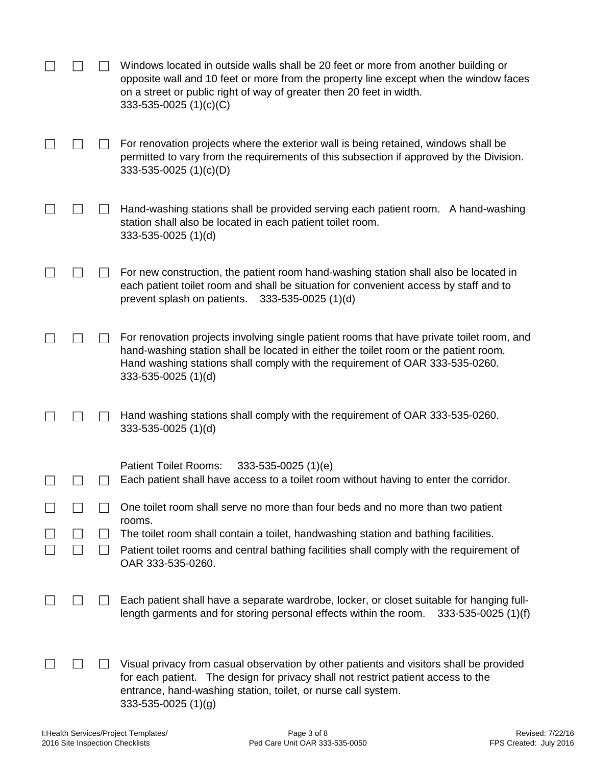|  | Windows located in outside walls shall be 20 feet or more from another building or<br>opposite wall and 10 feet or more from the property line except when the window faces<br>on a street or public right of way of greater then 20 feet in width.<br>$333 - 535 - 0025$ (1)(c)(C)      |
|--|------------------------------------------------------------------------------------------------------------------------------------------------------------------------------------------------------------------------------------------------------------------------------------------|
|  | For renovation projects where the exterior wall is being retained, windows shall be<br>permitted to vary from the requirements of this subsection if approved by the Division.<br>$333 - 535 - 0025$ (1)(c)(D)                                                                           |
|  | Hand-washing stations shall be provided serving each patient room. A hand-washing<br>station shall also be located in each patient toilet room.<br>333-535-0025 (1)(d)                                                                                                                   |
|  | For new construction, the patient room hand-washing station shall also be located in<br>each patient toilet room and shall be situation for convenient access by staff and to<br>prevent splash on patients.<br>$333 - 535 - 0025$ (1)(d)                                                |
|  | For renovation projects involving single patient rooms that have private toilet room, and<br>hand-washing station shall be located in either the toilet room or the patient room.<br>Hand washing stations shall comply with the requirement of OAR 333-535-0260.<br>333-535-0025 (1)(d) |
|  | Hand washing stations shall comply with the requirement of OAR 333-535-0260.<br>333-535-0025 (1)(d)                                                                                                                                                                                      |
|  | <b>Patient Toilet Rooms:</b><br>$333 - 535 - 0025$ (1)(e)<br>Each patient shall have access to a toilet room without having to enter the corridor.                                                                                                                                       |
|  | One toilet room shall serve no more than four beds and no more than two patient<br>rooms.                                                                                                                                                                                                |
|  | The toilet room shall contain a toilet, handwashing station and bathing facilities.<br>Patient toilet rooms and central bathing facilities shall comply with the requirement of<br>OAR 333-535-0260.                                                                                     |
|  | Each patient shall have a separate wardrobe, locker, or closet suitable for hanging full-<br>length garments and for storing personal effects within the room.<br>333-535-0025 (1)(f)                                                                                                    |
|  | Visual privacy from casual observation by other patients and visitors shall be provided<br>for each patient. The design for privacy shall not restrict patient access to the<br>entrance, hand-washing station, toilet, or nurse call system.<br>$333 - 535 - 0025$ (1)(g)               |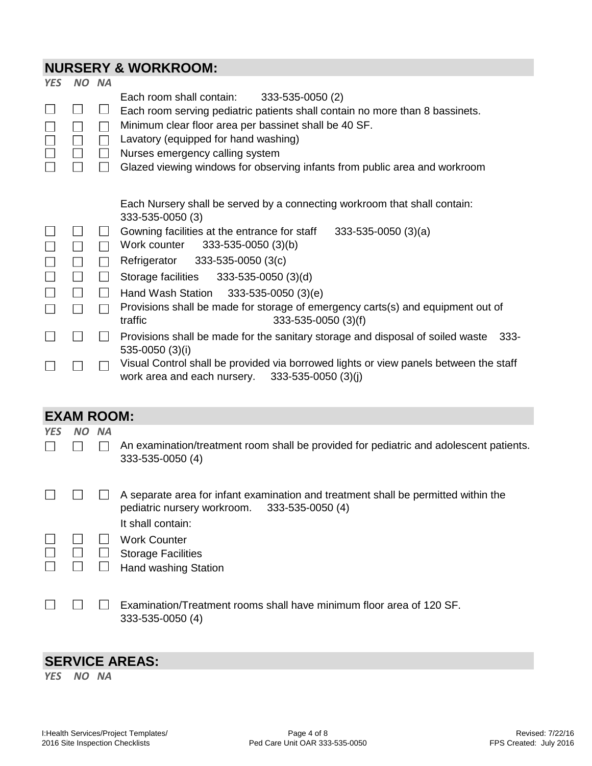# **NURSERY & WORKROOM:**

|                            |                             |                                                          | NUKSEKT & WURKRUUM:                                                                                                                                                                                                                                                                                                                                                                                                                                                                                                                                                                                                                                                                                                                         |
|----------------------------|-----------------------------|----------------------------------------------------------|---------------------------------------------------------------------------------------------------------------------------------------------------------------------------------------------------------------------------------------------------------------------------------------------------------------------------------------------------------------------------------------------------------------------------------------------------------------------------------------------------------------------------------------------------------------------------------------------------------------------------------------------------------------------------------------------------------------------------------------------|
| <b>YES</b>                 | <b>NO</b>                   | <b>NA</b>                                                |                                                                                                                                                                                                                                                                                                                                                                                                                                                                                                                                                                                                                                                                                                                                             |
| $\Box$<br>$\Box$           | $\perp$<br>$\Box$<br>$\Box$ | $\perp$<br>$\mathbf{I}$<br>$\Box$                        | Each room shall contain:<br>333-535-0050 (2)<br>Each room serving pediatric patients shall contain no more than 8 bassinets.<br>Minimum clear floor area per bassinet shall be 40 SF.<br>Lavatory (equipped for hand washing)<br>Nurses emergency calling system<br>Glazed viewing windows for observing infants from public area and workroom                                                                                                                                                                                                                                                                                                                                                                                              |
| $\Box$<br>$\Box$<br>$\Box$ | $\Box$<br>$\Box$<br>$\Box$  | $\perp$<br>$\overline{\phantom{a}}$<br>$\Box$<br>$\perp$ | Each Nursery shall be served by a connecting workroom that shall contain:<br>333-535-0050 (3)<br>Gowning facilities at the entrance for staff<br>$333-535-0050(3)(a)$<br>Work counter<br>333-535-0050 (3)(b)<br>333-535-0050 (3(c)<br>Refrigerator<br>Storage facilities<br>333-535-0050 (3)(d)<br>Hand Wash Station<br>$333 - 535 - 0050$ (3)(e)<br>Provisions shall be made for storage of emergency carts(s) and equipment out of<br>333-535-0050 (3)(f)<br>traffic<br>Provisions shall be made for the sanitary storage and disposal of soiled waste<br>$333 -$<br>535-0050 (3)(i)<br>Visual Control shall be provided via borrowed lights or view panels between the staff<br>work area and each nursery.<br>$333 - 535 - 0050$ (3)(j) |
|                            | <b>EXAM ROOM:</b>           |                                                          |                                                                                                                                                                                                                                                                                                                                                                                                                                                                                                                                                                                                                                                                                                                                             |
| <b>YES</b>                 | NO.                         | <b>NA</b>                                                |                                                                                                                                                                                                                                                                                                                                                                                                                                                                                                                                                                                                                                                                                                                                             |
|                            |                             |                                                          | An examination/treatment room shall be provided for pediatric and adolescent patients.<br>333-535-0050 (4)                                                                                                                                                                                                                                                                                                                                                                                                                                                                                                                                                                                                                                  |
|                            |                             |                                                          | A separate area for infant examination and treatment shall be permitted within the<br>pediatric nursery workroom.<br>333-535-0050 (4)<br>It shall contain:                                                                                                                                                                                                                                                                                                                                                                                                                                                                                                                                                                                  |
|                            |                             | $\Box$                                                   | <b>Work Counter</b><br><b>Storage Facilities</b><br>Hand washing Station                                                                                                                                                                                                                                                                                                                                                                                                                                                                                                                                                                                                                                                                    |
|                            |                             |                                                          | Examination/Treatment rooms shall have minimum floor area of 120 SF.<br>333-535-0050 (4)                                                                                                                                                                                                                                                                                                                                                                                                                                                                                                                                                                                                                                                    |

# **SERVICE AREAS:**

*YES NO NA*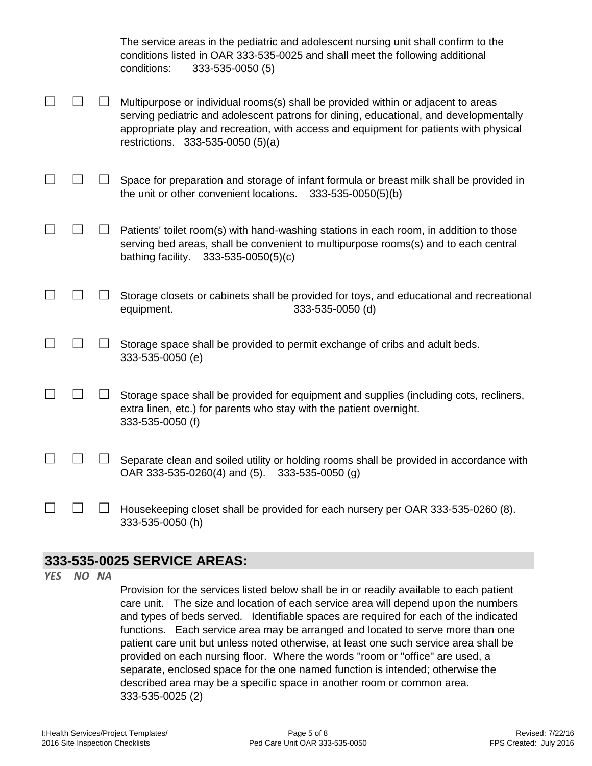|  | The service areas in the pediatric and adolescent nursing unit shall confirm to the<br>conditions listed in OAR 333-535-0025 and shall meet the following additional<br>conditions:<br>333-535-0050 (5)                                                                                                  |
|--|----------------------------------------------------------------------------------------------------------------------------------------------------------------------------------------------------------------------------------------------------------------------------------------------------------|
|  | Multipurpose or individual rooms(s) shall be provided within or adjacent to areas<br>serving pediatric and adolescent patrons for dining, educational, and developmentally<br>appropriate play and recreation, with access and equipment for patients with physical<br>restrictions. 333-535-0050 (5)(a) |
|  | Space for preparation and storage of infant formula or breast milk shall be provided in<br>the unit or other convenient locations.<br>$333 - 535 - 0050(5)(b)$                                                                                                                                           |
|  | Patients' toilet room(s) with hand-washing stations in each room, in addition to those<br>serving bed areas, shall be convenient to multipurpose rooms(s) and to each central<br>bathing facility.<br>$333 - 535 - 0050(5)(c)$                                                                           |
|  | Storage closets or cabinets shall be provided for toys, and educational and recreational<br>equipment.<br>333-535-0050 (d)                                                                                                                                                                               |
|  | Storage space shall be provided to permit exchange of cribs and adult beds.<br>333-535-0050 (e)                                                                                                                                                                                                          |
|  | Storage space shall be provided for equipment and supplies (including cots, recliners,<br>extra linen, etc.) for parents who stay with the patient overnight.<br>333-535-0050 (f)                                                                                                                        |
|  | Separate clean and soiled utility or holding rooms shall be provided in accordance with<br>OAR 333-535-0260(4) and (5).<br>333-535-0050 (g)                                                                                                                                                              |
|  | Housekeeping closet shall be provided for each nursery per OAR 333-535-0260 (8).<br>333-535-0050 (h)                                                                                                                                                                                                     |

#### **333-535-0025 SERVICE AREAS:**

*YES NO NA*

Provision for the services listed below shall be in or readily available to each patient care unit. The size and location of each service area will depend upon the numbers and types of beds served. Identifiable spaces are required for each of the indicated functions. Each service area may be arranged and located to serve more than one patient care unit but unless noted otherwise, at least one such service area shall be provided on each nursing floor. Where the words "room or "office" are used, a separate, enclosed space for the one named function is intended; otherwise the described area may be a specific space in another room or common area. 333-535-0025 (2)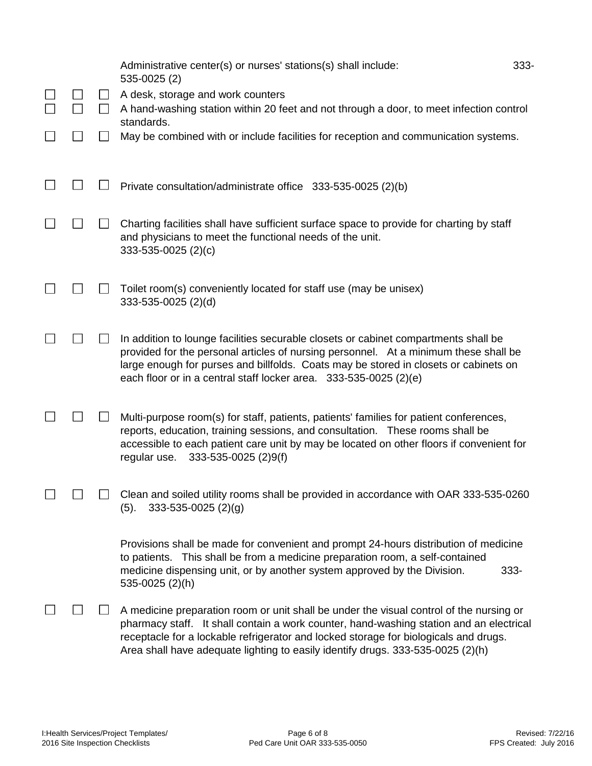|  |              | Administrative center(s) or nurses' stations(s) shall include:<br>535-0025 (2)                                                                                                                                                                                                                                                                                | 333- |
|--|--------------|---------------------------------------------------------------------------------------------------------------------------------------------------------------------------------------------------------------------------------------------------------------------------------------------------------------------------------------------------------------|------|
|  | ப<br>$\perp$ | A desk, storage and work counters<br>A hand-washing station within 20 feet and not through a door, to meet infection control                                                                                                                                                                                                                                  |      |
|  |              | standards.<br>May be combined with or include facilities for reception and communication systems.                                                                                                                                                                                                                                                             |      |
|  |              |                                                                                                                                                                                                                                                                                                                                                               |      |
|  |              | Private consultation/administrate office 333-535-0025 (2)(b)                                                                                                                                                                                                                                                                                                  |      |
|  |              | Charting facilities shall have sufficient surface space to provide for charting by staff<br>and physicians to meet the functional needs of the unit.<br>333-535-0025 (2)(c)                                                                                                                                                                                   |      |
|  |              | Toilet room(s) conveniently located for staff use (may be unisex)<br>333-535-0025 (2)(d)                                                                                                                                                                                                                                                                      |      |
|  |              | In addition to lounge facilities securable closets or cabinet compartments shall be<br>provided for the personal articles of nursing personnel. At a minimum these shall be<br>large enough for purses and billfolds. Coats may be stored in closets or cabinets on<br>each floor or in a central staff locker area. 333-535-0025 (2)(e)                      |      |
|  |              | Multi-purpose room(s) for staff, patients, patients' families for patient conferences,<br>reports, education, training sessions, and consultation. These rooms shall be<br>accessible to each patient care unit by may be located on other floors if convenient for<br>333-535-0025 (2)9(f)<br>regular use.                                                   |      |
|  |              | Clean and soiled utility rooms shall be provided in accordance with OAR 333-535-0260<br>$333 - 535 - 0025$ (2)(g)<br>(5).                                                                                                                                                                                                                                     |      |
|  |              | Provisions shall be made for convenient and prompt 24-hours distribution of medicine<br>to patients. This shall be from a medicine preparation room, a self-contained<br>medicine dispensing unit, or by another system approved by the Division.<br>535-0025 (2)(h)                                                                                          | 333- |
|  |              | A medicine preparation room or unit shall be under the visual control of the nursing or<br>pharmacy staff. It shall contain a work counter, hand-washing station and an electrical<br>receptacle for a lockable refrigerator and locked storage for biologicals and drugs.<br>Area shall have adequate lighting to easily identify drugs. 333-535-0025 (2)(h) |      |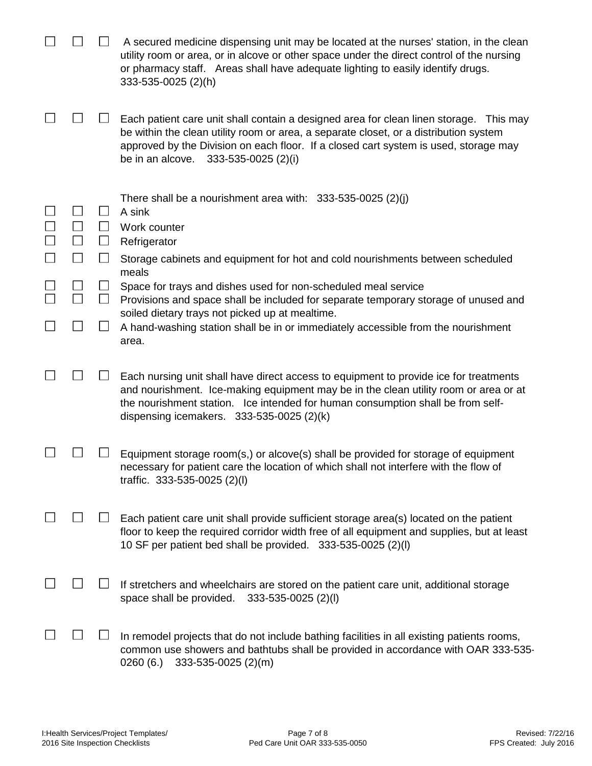|  |                   | A secured medicine dispensing unit may be located at the nurses' station, in the clean<br>utility room or area, or in alcove or other space under the direct control of the nursing<br>or pharmacy staff. Areas shall have adequate lighting to easily identify drugs.<br>333-535-0025 (2)(h)                      |
|--|-------------------|--------------------------------------------------------------------------------------------------------------------------------------------------------------------------------------------------------------------------------------------------------------------------------------------------------------------|
|  |                   | Each patient care unit shall contain a designed area for clean linen storage. This may<br>be within the clean utility room or area, a separate closet, or a distribution system<br>approved by the Division on each floor. If a closed cart system is used, storage may<br>be in an alcove.<br>333-535-0025 (2)(i) |
|  | $\mathsf{I}$<br>⊔ | There shall be a nourishment area with: $333-535-0025$ (2)(j)<br>A sink<br>Work counter<br>Refrigerator<br>Storage cabinets and equipment for hot and cold nourishments between scheduled<br>meals                                                                                                                 |
|  | $\Box$            | Space for trays and dishes used for non-scheduled meal service<br>Provisions and space shall be included for separate temporary storage of unused and                                                                                                                                                              |
|  |                   | soiled dietary trays not picked up at mealtime.<br>A hand-washing station shall be in or immediately accessible from the nourishment<br>area.                                                                                                                                                                      |
|  |                   | Each nursing unit shall have direct access to equipment to provide ice for treatments<br>and nourishment. Ice-making equipment may be in the clean utility room or area or at<br>the nourishment station. Ice intended for human consumption shall be from self-<br>dispensing icemakers. $333-535-0025$ (2)(k)    |
|  |                   | Equipment storage room(s,) or alcove(s) shall be provided for storage of equipment<br>necessary for patient care the location of which shall not interfere with the flow of<br>traffic. 333-535-0025 (2)(l)                                                                                                        |
|  |                   | Each patient care unit shall provide sufficient storage area(s) located on the patient<br>floor to keep the required corridor width free of all equipment and supplies, but at least<br>10 SF per patient bed shall be provided. 333-535-0025 (2)(I)                                                               |
|  |                   | If stretchers and wheelchairs are stored on the patient care unit, additional storage<br>space shall be provided.<br>333-535-0025 (2)(l)                                                                                                                                                                           |
|  |                   | In remodel projects that do not include bathing facilities in all existing patients rooms,<br>common use showers and bathtubs shall be provided in accordance with OAR 333-535-<br>0260(6.)<br>333-535-0025 (2)(m)                                                                                                 |

 $\overline{\phantom{a}}$ 

 $\frac{1}{2}$